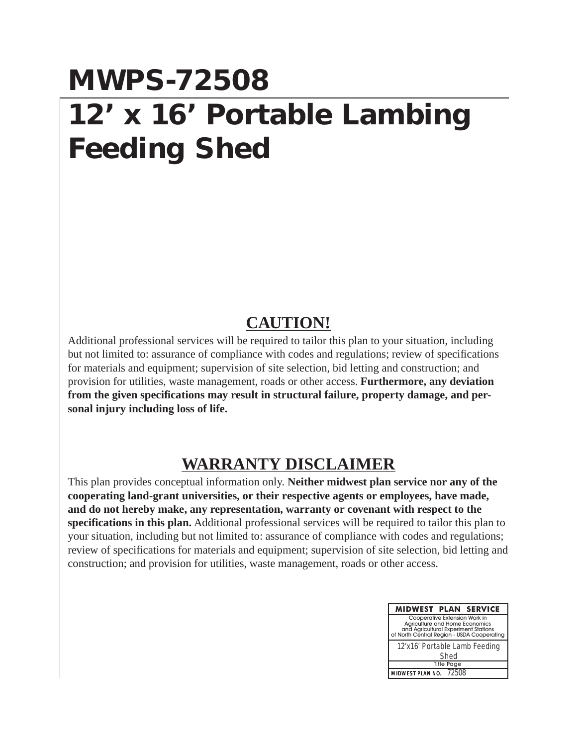## **MWPS-72508 12' x 16' Portable Lambing Feeding Shed**

## **CAUTION!**

Additional professional services will be required to tailor this plan to your situation, including but not limited to: assurance of compliance with codes and regulations; review of specifications for materials and equipment; supervision of site selection, bid letting and construction; and provision for utilities, waste management, roads or other access. **Furthermore, any deviation from the given specifications may result in structural failure, property damage, and personal injury including loss of life.**

## **WARRANTY DISCLAIMER**

This plan provides conceptual information only. **Neither midwest plan service nor any of the cooperating land-grant universities, or their respective agents or employees, have made, and do not hereby make, any representation, warranty or covenant with respect to the specifications in this plan.** Additional professional services will be required to tailor this plan to your situation, including but not limited to: assurance of compliance with codes and regulations; review of specifications for materials and equipment; supervision of site selection, bid letting and construction; and provision for utilities, waste management, roads or other access.

| <b>MIDWEST PLAN SERVICE</b>                                                                                                                           |
|-------------------------------------------------------------------------------------------------------------------------------------------------------|
| Cooperative Extension Work in<br>Agriculture and Home Economics<br>and Agricultural Experiment Stations<br>of North Central Region - USDA Cooperating |
| 12'x16' Portable Lamb Feeding                                                                                                                         |
| Shed                                                                                                                                                  |
| <b>Title Page</b>                                                                                                                                     |
| MIDWEST PLAN NO. 72508                                                                                                                                |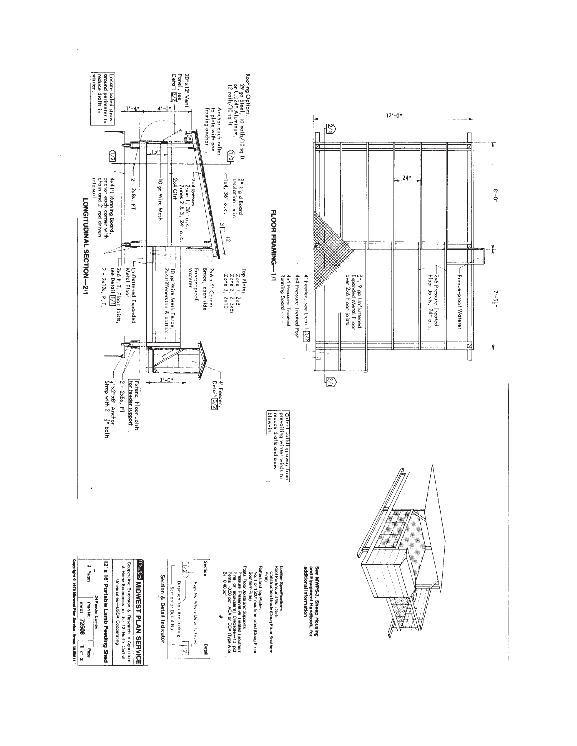